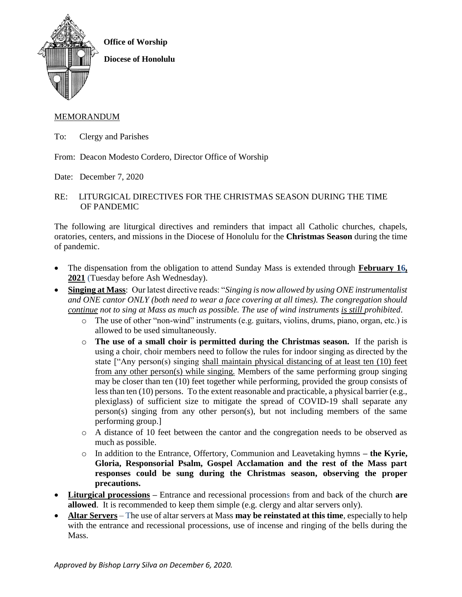

## MEMORANDUM

To: Clergy and Parishes

From: Deacon Modesto Cordero, Director Office of Worship

Date: December 7, 2020

## RE: LITURGICAL DIRECTIVES FOR THE CHRISTMAS SEASON DURING THE TIME OF PANDEMIC

The following are liturgical directives and reminders that impact all Catholic churches, chapels, oratories, centers, and missions in the Diocese of Honolulu for the **Christmas Season** during the time of pandemic.

- The dispensation from the obligation to attend Sunday Mass is extended through **February 16, 2021** (Tuesday before Ash Wednesday).
- **Singing at Mass**: Our latest directive reads: "*Singing is now allowed by using ONE instrumentalist and ONE cantor ONLY (both need to wear a face covering at all times). The congregation should continue not to sing at Mass as much as possible. The use of wind instruments is still prohibited*.
	- o The use of other "non-wind" instruments (e.g. guitars, violins, drums, piano, organ, etc.) is allowed to be used simultaneously.
	- o **The use of a small choir is permitted during the Christmas season.** If the parish is using a choir, choir members need to follow the rules for indoor singing as directed by the state ["Any person(s) singing shall maintain physical distancing of at least ten (10) feet from any other person(s) while singing. Members of the same performing group singing may be closer than ten (10) feet together while performing, provided the group consists of less than ten (10) persons. To the extent reasonable and practicable, a physical barrier (e.g., plexiglass) of sufficient size to mitigate the spread of COVID-19 shall separate any  $person(s)$  singing from any other person(s), but not including members of the same performing group.]
	- o A distance of 10 feet between the cantor and the congregation needs to be observed as much as possible.
	- o In addition to the Entrance, Offertory, Communion and Leavetaking hymns **– the Kyrie, Gloria, Responsorial Psalm, Gospel Acclamation and the rest of the Mass part responses could be sung during the Christmas season, observing the proper precautions.**
- **Liturgical processions –** Entrance and recessional processions from and back of the church **are allowed**. It is recommended to keep them simple (e.g. clergy and altar servers only).
- **Altar Servers** The use of altar servers at Mass **may be reinstated at this time**, especially to help with the entrance and recessional processions, use of incense and ringing of the bells during the Mass.